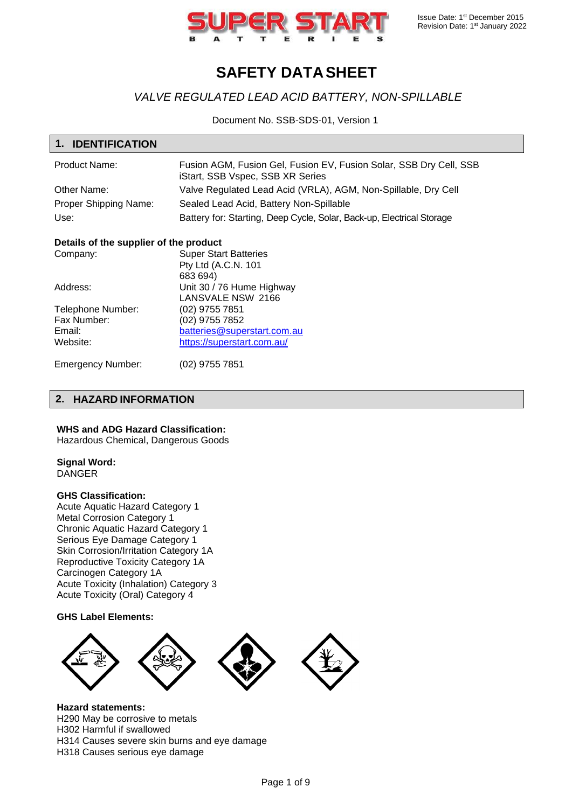

# **SAFETY DATASHEET**

## *VALVE REGULATED LEAD ACID BATTERY, NON-SPILLABLE*

Document No. SSB-SDS-01, Version 1

| 1. IDENTIFICATION     |                                                                                                        |
|-----------------------|--------------------------------------------------------------------------------------------------------|
| <b>Product Name:</b>  | Fusion AGM, Fusion Gel, Fusion EV, Fusion Solar, SSB Dry Cell, SSB<br>iStart, SSB Vspec, SSB XR Series |
| Other Name:           | Valve Regulated Lead Acid (VRLA), AGM, Non-Spillable, Dry Cell                                         |
| Proper Shipping Name: | Sealed Lead Acid, Battery Non-Spillable                                                                |
| Use:                  | Battery for: Starting, Deep Cycle, Solar, Back-up, Electrical Storage                                  |

### **Details of the supplier of the product**

| Company:          | <b>Super Start Batteries</b> |
|-------------------|------------------------------|
|                   | Pty Ltd (A.C.N. 101          |
|                   | 683 694)                     |
| Address:          | Unit 30 / 76 Hume Highway    |
|                   | LANSVALE NSW 2166            |
| Telephone Number: | (02) 9755 7851               |
| Fax Number:       | (02) 9755 7852               |
| Email:            | batteries@superstart.com.au  |
| Website:          | https://superstart.com.au/   |
|                   |                              |

Emergency Number: (02) 9755 7851

## **2. HAZARD INFORMATION**

### **WHS and ADG Hazard Classification:**

Hazardous Chemical, Dangerous Goods

## **Signal Word:**

DANGER

### **GHS Classification:**

Acute Aquatic Hazard Category 1 Metal Corrosion Category 1 Chronic Aquatic Hazard Category 1 Serious Eye Damage Category 1 Skin Corrosion/Irritation Category 1A Reproductive Toxicity Category 1A Carcinogen Category 1A Acute Toxicity (Inhalation) Category 3 Acute Toxicity (Oral) Category 4

### **GHS Label Elements:**



**Hazard statements:** H290 May be corrosive to metals H302 Harmful if swallowed H314 Causes severe skin burns and eye damage H318 Causes serious eye damage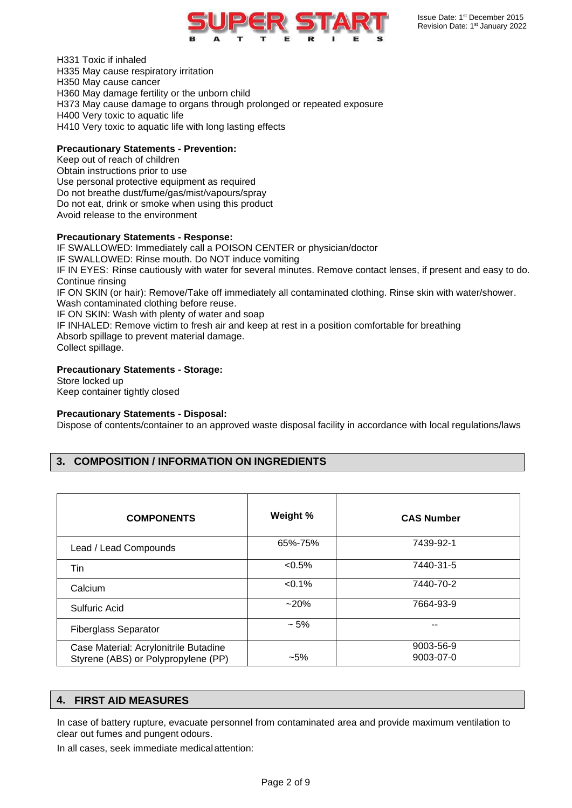

H331 Toxic if inhaled H335 May cause respiratory irritation H350 May cause cancer H360 May damage fertility or the unborn child H373 May cause damage to organs through prolonged or repeated exposure H400 Very toxic to aquatic life H410 Very toxic to aquatic life with long lasting effects

### **Precautionary Statements - Prevention:**

Keep out of reach of children Obtain instructions prior to use Use personal protective equipment as required Do not breathe dust/fume/gas/mist/vapours/spray Do not eat, drink or smoke when using this product Avoid release to the environment

### **Precautionary Statements - Response:**

IF SWALLOWED: Immediately call a POISON CENTER or physician/doctor IF SWALLOWED: Rinse mouth. Do NOT induce vomiting IF IN EYES: Rinse cautiously with water for several minutes. Remove contact lenses, if present and easy to do. Continue rinsing IF ON SKIN (or hair): Remove/Take off immediately all contaminated clothing. Rinse skin with water/shower. Wash contaminated clothing before reuse. IF ON SKIN: Wash with plenty of water and soap IF INHALED: Remove victim to fresh air and keep at rest in a position comfortable for breathing Absorb spillage to prevent material damage. Collect spillage.

### **Precautionary Statements - Storage:**

Store locked up Keep container tightly closed

### **Precautionary Statements - Disposal:**

Dispose of contents/container to an approved waste disposal facility in accordance with local regulations/laws

## **3. COMPOSITION / INFORMATION ON INGREDIENTS**

| <b>COMPONENTS</b>                                                            | Weight % | <b>CAS Number</b>      |
|------------------------------------------------------------------------------|----------|------------------------|
| Lead / Lead Compounds                                                        | 65%-75%  | 7439-92-1              |
| Tin                                                                          | $<0.5\%$ | 7440-31-5              |
| Calcium                                                                      | $<0.1\%$ | 7440-70-2              |
| Sulfuric Acid                                                                | $~20\%$  | 7664-93-9              |
| <b>Fiberglass Separator</b>                                                  | $~1.5\%$ |                        |
| Case Material: Acrylonitrile Butadine<br>Styrene (ABS) or Polypropylene (PP) | $-5%$    | 9003-56-9<br>9003-07-0 |

### **4. FIRST AID MEASURES**

In case of battery rupture, evacuate personnel from contaminated area and provide maximum ventilation to clear out fumes and pungent odours.

In all cases, seek immediate medicalattention: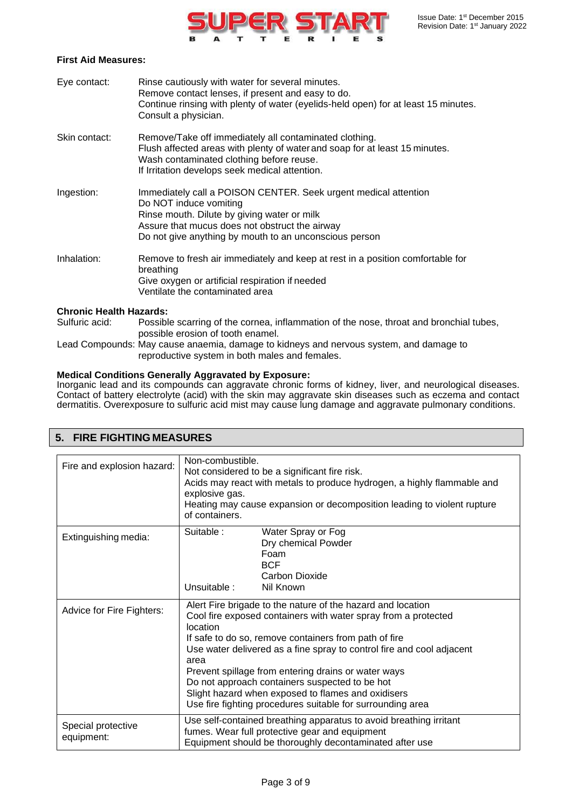

### **First Aid Measures:**

| Eye contact:  | Rinse cautiously with water for several minutes.<br>Remove contact lenses, if present and easy to do.<br>Continue rinsing with plenty of water (eyelids-held open) for at least 15 minutes.<br>Consult a physician.                                  |
|---------------|------------------------------------------------------------------------------------------------------------------------------------------------------------------------------------------------------------------------------------------------------|
| Skin contact: | Remove/Take off immediately all contaminated clothing.<br>Flush affected areas with plenty of water and soap for at least 15 minutes.<br>Wash contaminated clothing before reuse.<br>If Irritation develops seek medical attention.                  |
| Ingestion:    | Immediately call a POISON CENTER. Seek urgent medical attention<br>Do NOT induce vomiting<br>Rinse mouth. Dilute by giving water or milk<br>Assure that mucus does not obstruct the airway<br>Do not give anything by mouth to an unconscious person |
| Inhalation:   | Remove to fresh air immediately and keep at rest in a position comfortable for<br>breathing<br>Give oxygen or artificial respiration if needed<br>Ventilate the contaminated area                                                                    |

### **Chronic Health Hazards:**

Sulfuric acid: Possible scarring of the cornea, inflammation of the nose, throat and bronchial tubes, possible erosion of tooth enamel.

Lead Compounds: May cause anaemia, damage to kidneys and nervous system, and damage to reproductive system in both males and females.

### **Medical Conditions Generally Aggravated by Exposure:**

Inorganic lead and its compounds can aggravate chronic forms of kidney, liver, and neurological diseases. Contact of battery electrolyte (acid) with the skin may aggravate skin diseases such as eczema and contact dermatitis. Overexposure to sulfuric acid mist may cause lung damage and aggravate pulmonary conditions.

| 5. FIRE FIGHTING MEASURES        |                                                                                                                                                                                                                                                                                                                                                                                                                                                                                                                  |  |  |
|----------------------------------|------------------------------------------------------------------------------------------------------------------------------------------------------------------------------------------------------------------------------------------------------------------------------------------------------------------------------------------------------------------------------------------------------------------------------------------------------------------------------------------------------------------|--|--|
| Fire and explosion hazard:       | Non-combustible.<br>Not considered to be a significant fire risk.<br>Acids may react with metals to produce hydrogen, a highly flammable and<br>explosive gas.<br>Heating may cause expansion or decomposition leading to violent rupture<br>of containers.                                                                                                                                                                                                                                                      |  |  |
| Extinguishing media:             | Suitable:<br>Water Spray or Fog<br>Dry chemical Powder<br>Foam<br><b>BCF</b><br>Carbon Dioxide<br>Unsuitable:<br>Nil Known                                                                                                                                                                                                                                                                                                                                                                                       |  |  |
| Advice for Fire Fighters:        | Alert Fire brigade to the nature of the hazard and location<br>Cool fire exposed containers with water spray from a protected<br>location<br>If safe to do so, remove containers from path of fire<br>Use water delivered as a fine spray to control fire and cool adjacent<br>area<br>Prevent spillage from entering drains or water ways<br>Do not approach containers suspected to be hot<br>Slight hazard when exposed to flames and oxidisers<br>Use fire fighting procedures suitable for surrounding area |  |  |
| Special protective<br>equipment: | Use self-contained breathing apparatus to avoid breathing irritant<br>fumes. Wear full protective gear and equipment<br>Equipment should be thoroughly decontaminated after use                                                                                                                                                                                                                                                                                                                                  |  |  |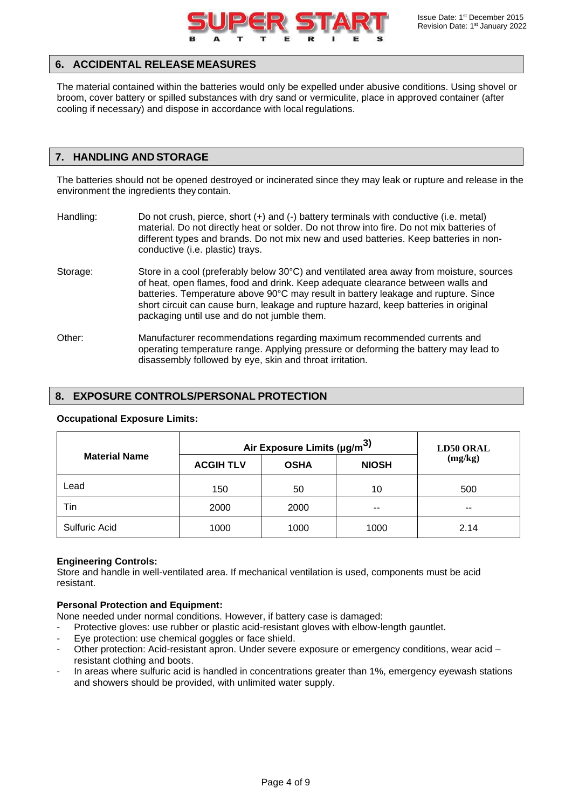

## **6. ACCIDENTAL RELEASE MEASURES**

The material contained within the batteries would only be expelled under abusive conditions. Using shovel or broom, cover battery or spilled substances with dry sand or vermiculite, place in approved container (after cooling if necessary) and dispose in accordance with local regulations.

### **7. HANDLING AND STORAGE**

The batteries should not be opened destroyed or incinerated since they may leak or rupture and release in the environment the ingredients they contain.

- Handling: Do not crush, pierce, short (+) and (-) battery terminals with conductive (i.e. metal) material. Do not directly heat or solder. Do not throw into fire. Do not mix batteries of different types and brands. Do not mix new and used batteries. Keep batteries in nonconductive (i.e. plastic) trays.
- Storage: Store in a cool (preferably below 30°C) and ventilated area away from moisture, sources of heat, open flames, food and drink. Keep adequate clearance between walls and batteries. Temperature above 90°C may result in battery leakage and rupture. Since short circuit can cause burn, leakage and rupture hazard, keep batteries in original packaging until use and do not jumble them.
- Other: Manufacturer recommendations regarding maximum recommended currents and operating temperature range. Applying pressure or deforming the battery may lead to disassembly followed by eye, skin and throat irritation.

### **8. EXPOSURE CONTROLS/PERSONAL PROTECTION**

|                      | Air Exposure Limits (µg/m <sup>3)</sup> |             |              | <b>LD50 ORAL</b> |  |
|----------------------|-----------------------------------------|-------------|--------------|------------------|--|
| <b>Material Name</b> | <b>ACGIH TLV</b>                        | <b>OSHA</b> | <b>NIOSH</b> | (mg/kg)          |  |
| Lead                 | 150                                     | 50          | 10           | 500              |  |
| Tin                  | 2000                                    | 2000        | $- -$        | $- -$            |  |
| Sulfuric Acid        | 1000                                    | 1000        | 1000         | 2.14             |  |

### **Occupational Exposure Limits:**

### **Engineering Controls:**

Store and handle in well-ventilated area. If mechanical ventilation is used, components must be acid resistant.

### **Personal Protection and Equipment:**

None needed under normal conditions. However, if battery case is damaged:

- Protective gloves: use rubber or plastic acid-resistant gloves with elbow-length gauntlet.
- Eye protection: use chemical goggles or face shield.
- Other protection: Acid-resistant apron. Under severe exposure or emergency conditions, wear acid resistant clothing and boots.
- In areas where sulfuric acid is handled in concentrations greater than 1%, emergency eyewash stations and showers should be provided, with unlimited water supply.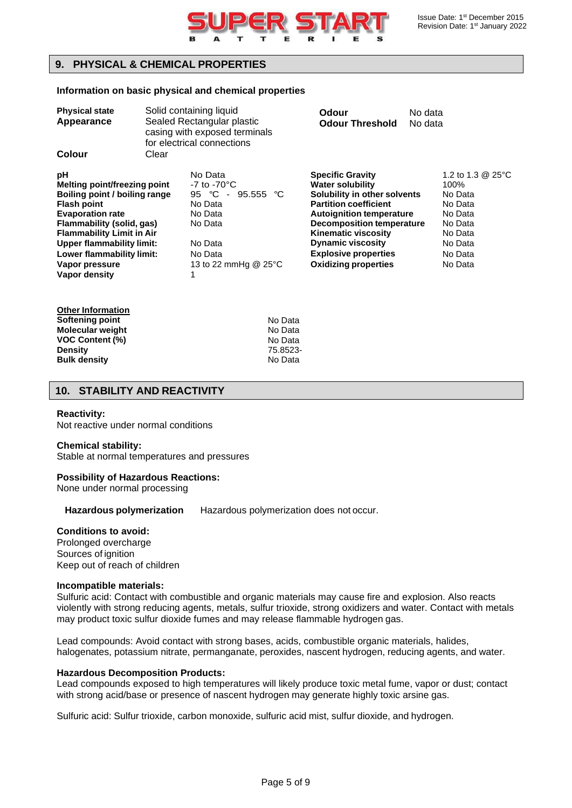

## **9. PHYSICAL & CHEMICAL PROPERTIES**

### **Information on basic physical and chemical properties**

| Solid containing liquid<br><b>Physical state</b><br>Sealed Rectangular plastic<br>Appearance<br>casing with exposed terminals<br>for electrical connections                                                                                                                               |       | Odour<br><b>Odour Threshold</b>                                                                                                                          | No data<br>No data                                                                                                                                                                                                                                                                                                |  |                                                                                                                   |
|-------------------------------------------------------------------------------------------------------------------------------------------------------------------------------------------------------------------------------------------------------------------------------------------|-------|----------------------------------------------------------------------------------------------------------------------------------------------------------|-------------------------------------------------------------------------------------------------------------------------------------------------------------------------------------------------------------------------------------------------------------------------------------------------------------------|--|-------------------------------------------------------------------------------------------------------------------|
| Colour                                                                                                                                                                                                                                                                                    | Clear |                                                                                                                                                          |                                                                                                                                                                                                                                                                                                                   |  |                                                                                                                   |
| рH<br>Melting point/freezing point<br>Boiling point / boiling range<br><b>Flash point</b><br><b>Evaporation rate</b><br>Flammability (solid, gas)<br><b>Flammability Limit in Air</b><br><b>Upper flammability limit:</b><br>Lower flammability limit:<br>Vapor pressure<br>Vapor density |       | No Data<br>$-7$ to $-70^{\circ}$ C<br>95 $\degree$ C<br>$-95.555$ °C<br>No Data<br>No Data<br>No Data<br>No Data<br>No Data<br>13 to 22 mmHg @ 25°C<br>1 | <b>Specific Gravity</b><br><b>Water solubility</b><br>Solubility in other solvents<br><b>Partition coefficient</b><br><b>Autoignition temperature</b><br><b>Decomposition temperature</b><br><b>Kinematic viscosity</b><br><b>Dynamic viscosity</b><br><b>Explosive properties</b><br><b>Oxidizing properties</b> |  | 1.2 to 1.3 @ 25°C<br>100%<br>No Data<br>No Data<br>No Data<br>No Data<br>No Data<br>No Data<br>No Data<br>No Data |

| Other Information      |          |
|------------------------|----------|
| Softening point        | No Data  |
| Molecular weight       | No Data  |
| <b>VOC Content (%)</b> | No Data  |
| Densitv                | 75.8523- |
| <b>Bulk density</b>    | No Data  |

## **10. STABILITY AND REACTIVITY**

### **Reactivity:**

Not reactive under normal conditions

#### **Chemical stability:**

Stable at normal temperatures and pressures

### **Possibility of Hazardous Reactions:**

None under normal processing

**Hazardous polymerization** Hazardous polymerization does not occur.

### **Conditions to avoid:**

Prolonged overcharge Sources of ignition Keep out of reach of children

### **Incompatible materials:**

Sulfuric acid: Contact with combustible and organic materials may cause fire and explosion. Also reacts violently with strong reducing agents, metals, sulfur trioxide, strong oxidizers and water. Contact with metals may product toxic sulfur dioxide fumes and may release flammable hydrogen gas.

Lead compounds: Avoid contact with strong bases, acids, combustible organic materials, halides, halogenates, potassium nitrate, permanganate, peroxides, nascent hydrogen, reducing agents, and water.

#### **Hazardous Decomposition Products:**

Lead compounds exposed to high temperatures will likely produce toxic metal fume, vapor or dust; contact with strong acid/base or presence of nascent hydrogen may generate highly toxic arsine gas.

Sulfuric acid: Sulfur trioxide, carbon monoxide, sulfuric acid mist, sulfur dioxide, and hydrogen.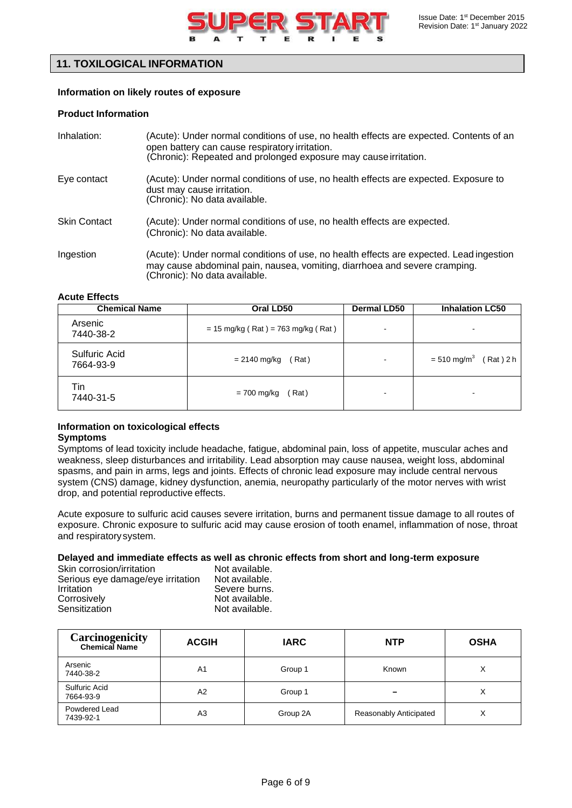

## **11. TOXILOGICAL INFORMATION**

### **Information on likely routes of exposure**

### **Product Information**

| Inhalation:         | (Acute): Under normal conditions of use, no health effects are expected. Contents of an<br>open battery can cause respiratory irritation.<br>(Chronic): Repeated and prolonged exposure may cause irritation. |
|---------------------|---------------------------------------------------------------------------------------------------------------------------------------------------------------------------------------------------------------|
| Eye contact         | (Acute): Under normal conditions of use, no health effects are expected. Exposure to<br>dust may cause irritation.<br>(Chronic): No data available.                                                           |
| <b>Skin Contact</b> | (Acute): Under normal conditions of use, no health effects are expected.<br>(Chronic): No data available.                                                                                                     |
| Ingestion           | (Acute): Under normal conditions of use, no health effects are expected. Lead ingestion<br>may cause abdominal pain, nausea, vomiting, diarrhoea and severe cramping.<br>(Chronic): No data available.        |

### **Acute Effects**

| <b>Chemical Name</b>       | Oral LD50                            | <b>Dermal LD50</b> | <b>Inhalation LC50</b>                   |  |
|----------------------------|--------------------------------------|--------------------|------------------------------------------|--|
| Arsenic<br>7440-38-2       | $= 15$ mg/kg (Rat) = 763 mg/kg (Rat) |                    |                                          |  |
| Sulfuric Acid<br>7664-93-9 | = 2140 mg/kg<br>(Rat)                |                    | $= 510$ mg/m <sup>3</sup><br>$(Rat)$ 2 h |  |
| Tin<br>7440-31-5           | (Rat)<br>$= 700$ mg/kg               |                    |                                          |  |

### **Information on toxicological effects Symptoms**

Symptoms of lead toxicity include headache, fatigue, abdominal pain, loss of appetite, muscular aches and weakness, sleep disturbances and irritability. Lead absorption may cause nausea, weight loss, abdominal spasms, and pain in arms, legs and joints. Effects of chronic lead exposure may include central nervous system (CNS) damage, kidney dysfunction, anemia, neuropathy particularly of the motor nerves with wrist drop, and potential reproductive effects.

Acute exposure to sulfuric acid causes severe irritation, burns and permanent tissue damage to all routes of exposure. Chronic exposure to sulfuric acid may cause erosion of tooth enamel, inflammation of nose, throat and respiratorysystem.

### **Delayed and immediate effects as well as chronic effects from short and long-term exposure**

| Skin corrosion/irritation         | Not available. |
|-----------------------------------|----------------|
| Serious eye damage/eye irritation | Not available. |
| Irritation                        | Severe burns.  |
| Corrosively                       | Not available. |
| Sensitization                     | Not available. |

| <b>Carcinogenicity</b><br><b>Chemical Name</b> | <b>ACGIH</b>   | <b>IARC</b> | <b>NTP</b>             | <b>OSHA</b> |
|------------------------------------------------|----------------|-------------|------------------------|-------------|
| Arsenic<br>7440-38-2                           | A <sub>1</sub> | Group 1     | Known                  | Χ           |
| Sulfuric Acid<br>7664-93-9                     | A <sub>2</sub> | Group 1     | -                      | Χ           |
| Powdered Lead<br>7439-92-1                     | A <sub>3</sub> | Group 2A    | Reasonably Anticipated | Χ           |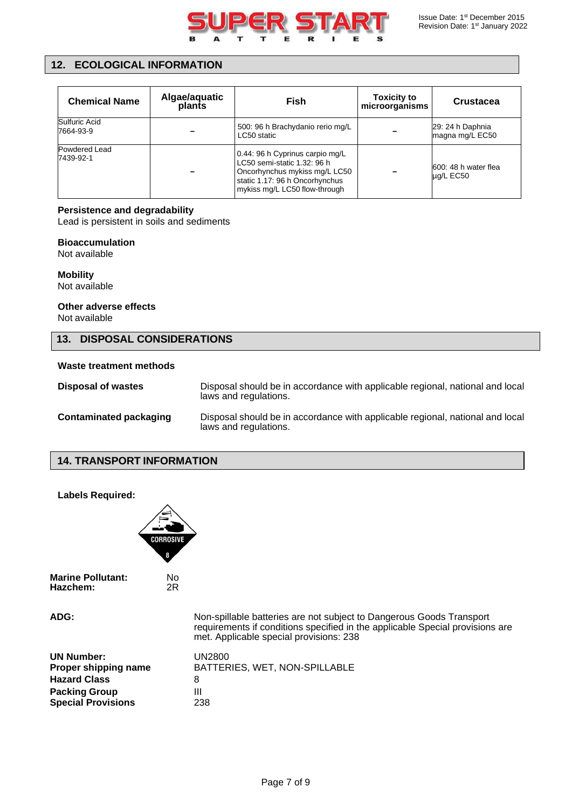

## **12. ECOLOGICAL INFORMATION**

| <b>Chemical Name</b>       | Algae/aquatic<br>plants | Fish                                                                                                                                                               | <b>Toxicity to</b><br>microorganisms | <b>Crustacea</b>                    |
|----------------------------|-------------------------|--------------------------------------------------------------------------------------------------------------------------------------------------------------------|--------------------------------------|-------------------------------------|
| Sulfuric Acid<br>7664-93-9 |                         | 500: 96 h Brachydanio rerio mg/L<br>LC50 static                                                                                                                    |                                      | 29: 24 h Daphnia<br>magna mg/L EC50 |
| Powdered Lead<br>7439-92-1 |                         | 0.44: 96 h Cyprinus carpio mg/L<br>LC50 semi-static 1.32: 96 h<br>Oncorhynchus mykiss mg/L LC50<br>static 1.17: 96 h Oncorhynchus<br>mykiss mg/L LC50 flow-through |                                      | 600: 48 h water flea<br>ug/L EC50   |

### **Persistence and degradability**

Lead is persistent in soils and sediments

### **Bioaccumulation**

Not available

**Mobility** Not available

**Other adverse effects** Not available

## **13. DISPOSAL CONSIDERATIONS**

### **Waste treatment methods**

| Disposal of wastes            | Disposal should be in accordance with applicable regional, national and local<br>laws and regulations. |
|-------------------------------|--------------------------------------------------------------------------------------------------------|
| <b>Contaminated packaging</b> | Disposal should be in accordance with applicable regional, national and local<br>laws and regulations. |

### **14. TRANSPORT INFORMATION**



**Marine Pollutant:** No<br> **Hazchem:** 2R **Hazchem:** 

**ADG:** Non-spillable batteries are not subject to Dangerous Goods Transport requirements if conditions specified in the applicable Special provisions are met. Applicable special provisions: 238

| <b>UN Number:</b>         | UN2800                        |
|---------------------------|-------------------------------|
| Proper shipping name      | BATTERIES, WET, NON-SPILLABLE |
| <b>Hazard Class</b>       | 8                             |
| <b>Packing Group</b>      | Ш                             |
| <b>Special Provisions</b> | 238                           |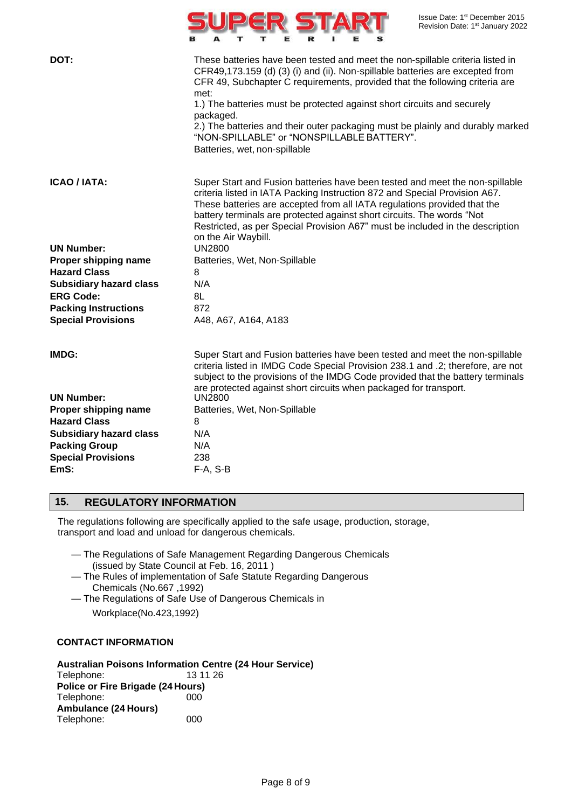|                                | Issue Date: 1 <sup>st</sup> December 2015<br>Revision Date: 1st January 2022                                                                                                                                                                                                                                                                                                                                                                                                                                    |
|--------------------------------|-----------------------------------------------------------------------------------------------------------------------------------------------------------------------------------------------------------------------------------------------------------------------------------------------------------------------------------------------------------------------------------------------------------------------------------------------------------------------------------------------------------------|
| DOT:                           | These batteries have been tested and meet the non-spillable criteria listed in<br>CFR49,173.159 (d) (3) (i) and (ii). Non-spillable batteries are excepted from<br>CFR 49, Subchapter C requirements, provided that the following criteria are<br>met:<br>1.) The batteries must be protected against short circuits and securely<br>packaged.<br>2.) The batteries and their outer packaging must be plainly and durably marked<br>"NON-SPILLABLE" or "NONSPILLABLE BATTERY".<br>Batteries, wet, non-spillable |
| <b>ICAO / IATA:</b>            | Super Start and Fusion batteries have been tested and meet the non-spillable<br>criteria listed in IATA Packing Instruction 872 and Special Provision A67.<br>These batteries are accepted from all IATA regulations provided that the<br>battery terminals are protected against short circuits. The words "Not<br>Restricted, as per Special Provision A67" must be included in the description<br>on the Air Waybill.                                                                                        |
| <b>UN Number:</b>              | <b>UN2800</b>                                                                                                                                                                                                                                                                                                                                                                                                                                                                                                   |
| Proper shipping name           | Batteries, Wet, Non-Spillable                                                                                                                                                                                                                                                                                                                                                                                                                                                                                   |
| <b>Hazard Class</b>            | 8                                                                                                                                                                                                                                                                                                                                                                                                                                                                                                               |
| <b>Subsidiary hazard class</b> | N/A                                                                                                                                                                                                                                                                                                                                                                                                                                                                                                             |
| <b>ERG Code:</b>               | 8L                                                                                                                                                                                                                                                                                                                                                                                                                                                                                                              |
| <b>Packing Instructions</b>    | 872                                                                                                                                                                                                                                                                                                                                                                                                                                                                                                             |
| <b>Special Provisions</b>      | A48, A67, A164, A183                                                                                                                                                                                                                                                                                                                                                                                                                                                                                            |
| IMDG:                          | Super Start and Fusion batteries have been tested and meet the non-spillable<br>criteria listed in IMDG Code Special Provision 238.1 and .2; therefore, are not<br>subject to the provisions of the IMDG Code provided that the battery terminals<br>are protected against short circuits when packaged for transport.                                                                                                                                                                                          |
| <b>UN Number:</b>              | <b>UN2800</b>                                                                                                                                                                                                                                                                                                                                                                                                                                                                                                   |
| Proper shipping name           | Batteries, Wet, Non-Spillable                                                                                                                                                                                                                                                                                                                                                                                                                                                                                   |
| <b>Hazard Class</b>            | 8                                                                                                                                                                                                                                                                                                                                                                                                                                                                                                               |
| <b>Subsidiary hazard class</b> | N/A                                                                                                                                                                                                                                                                                                                                                                                                                                                                                                             |
| <b>Packing Group</b>           | N/A                                                                                                                                                                                                                                                                                                                                                                                                                                                                                                             |
| <b>Special Provisions</b>      | 238                                                                                                                                                                                                                                                                                                                                                                                                                                                                                                             |
| EmS:                           | $F-A, S-B$                                                                                                                                                                                                                                                                                                                                                                                                                                                                                                      |
|                                |                                                                                                                                                                                                                                                                                                                                                                                                                                                                                                                 |

## **15. REGULATORY INFORMATION**

The regulations following are specifically applied to the safe usage, production, storage, transport and load and unload for dangerous chemicals.

- The Regulations of Safe Management Regarding Dangerous Chemicals (issued by State Council at Feb. 16, 2011 )
- The Rules of implementation of Safe Statute Regarding Dangerous Chemicals (No.667 ,1992)
- The Regulations of Safe Use of Dangerous Chemicals in Workplace(No.423,1992)

### **CONTACT INFORMATION**

**Australian Poisons Information Centre (24 Hour Service)**

Telephone: 13 11 26 **Police or Fire Brigade (24 Hours)** Telephone: 000 **Ambulance (24 Hours)** Telephone: 000